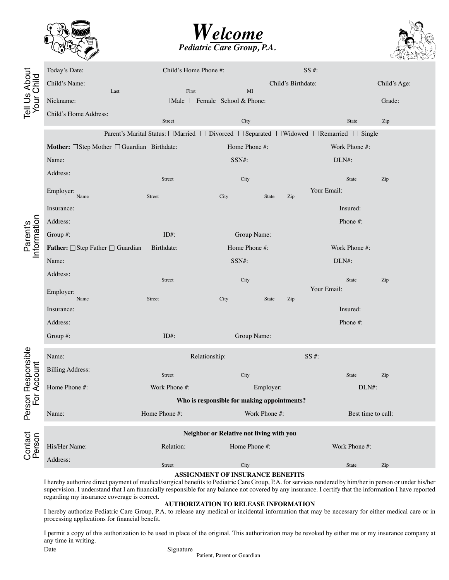





| Tell Us About<br>Your Child             | Today's Date:                                                                                                          | Child's Home Phone #:                              |                                             | $SS#$ :            |              |  |  |
|-----------------------------------------|------------------------------------------------------------------------------------------------------------------------|----------------------------------------------------|---------------------------------------------|--------------------|--------------|--|--|
|                                         | Child's Name:                                                                                                          |                                                    | Child's Birthdate:                          |                    | Child's Age: |  |  |
|                                         | Last<br>Nickname:                                                                                                      | First<br>$\Box$ Male $\Box$ Female School & Phone: | $\mathbf{M}\mathbf{I}$                      |                    | Grade:       |  |  |
|                                         | Child's Home Address:                                                                                                  |                                                    |                                             |                    |              |  |  |
|                                         |                                                                                                                        | Street                                             | City                                        | State              | Zip          |  |  |
|                                         | Parent's Marital Status: $\Box$ Married $\Box$ Divorced $\Box$ Separated $\Box$ Widowed $\Box$ Remarried $\Box$ Single |                                                    |                                             |                    |              |  |  |
| Parent's<br>Information                 | Mother: $\Box$ Step Mother $\Box$ Guardian Birthdate:                                                                  |                                                    | Home Phone #:                               | Work Phone #:      |              |  |  |
|                                         | Name:                                                                                                                  |                                                    | SSN#:                                       | DLN#:              |              |  |  |
|                                         | Address:                                                                                                               | Street                                             | City                                        | State              | Zip          |  |  |
|                                         | Employer:<br>Name                                                                                                      | Street                                             | City<br>State<br>Zip                        | Your Email:        |              |  |  |
|                                         | Insurance:                                                                                                             |                                                    |                                             | Insured:           |              |  |  |
|                                         | Address:                                                                                                               |                                                    |                                             | Phone #:           |              |  |  |
|                                         | Group #:                                                                                                               | $ID#$ :                                            | Group Name:                                 |                    |              |  |  |
|                                         | <b>Father:</b> $\Box$ Step Father $\Box$ Guardian                                                                      | Birthdate:                                         | Home Phone #:                               | Work Phone #:      |              |  |  |
|                                         | Name:                                                                                                                  |                                                    | SSN#:                                       | DLN#:              |              |  |  |
|                                         | Address:                                                                                                               | Street                                             | City                                        | State              | Zip          |  |  |
|                                         | Employer:                                                                                                              |                                                    |                                             | Your Email:        |              |  |  |
|                                         | Name<br>Insurance:                                                                                                     | Street                                             | City<br>State<br>Zip                        | Insured:           |              |  |  |
|                                         | Address:                                                                                                               |                                                    |                                             | Phone #:           |              |  |  |
|                                         | Group #:                                                                                                               | $ID#$ :                                            | Group Name:                                 |                    |              |  |  |
|                                         |                                                                                                                        |                                                    |                                             |                    |              |  |  |
|                                         | Name:                                                                                                                  | Relationship:                                      |                                             | $SS#$ :            |              |  |  |
| Responsible<br>Account<br>Person<br>For | <b>Billing Address:</b>                                                                                                | Street                                             | City                                        | State              |              |  |  |
|                                         | Home Phone #:                                                                                                          | Work Phone #:                                      | Employer:                                   | DLN#:              | Zip          |  |  |
|                                         |                                                                                                                        |                                                    | Who is responsible for making appointments? |                    |              |  |  |
|                                         | Name:                                                                                                                  | Home Phone #:                                      | Work Phone #:                               | Best time to call: |              |  |  |
| Contact<br>Person                       | Neighbor or Relative not living with you                                                                               |                                                    |                                             |                    |              |  |  |
|                                         | His/Her Name:                                                                                                          | Relation:                                          | Home Phone #:                               | Work Phone #:      |              |  |  |
|                                         | Address:                                                                                                               |                                                    |                                             |                    |              |  |  |
|                                         |                                                                                                                        | Street                                             | City                                        | State              | Zip          |  |  |

## **ASSIGNMENT OF INSURANCE BENEFITS**

I hereby authorize direct payment of medical/surgical benefits to Pediatric Care Group, P.A. for services rendered by him/her in person or under his/her supervision. I understand that I am financially responsible for any balance not covered by any insurance. I certify that the information I have reported regarding my insurance coverage is correct.

## **AUTHORIZATION TO RELEASE INFORMATION**

I hereby authorize Pediatric Care Group, P.A. to release any medical or incidental information that may be necessary for either medical care or in processing applications for financial benefit.

I permit a copy of this authorization to be used in place of the original. This authorization may be revoked by either me or my insurance company at any time in writing.